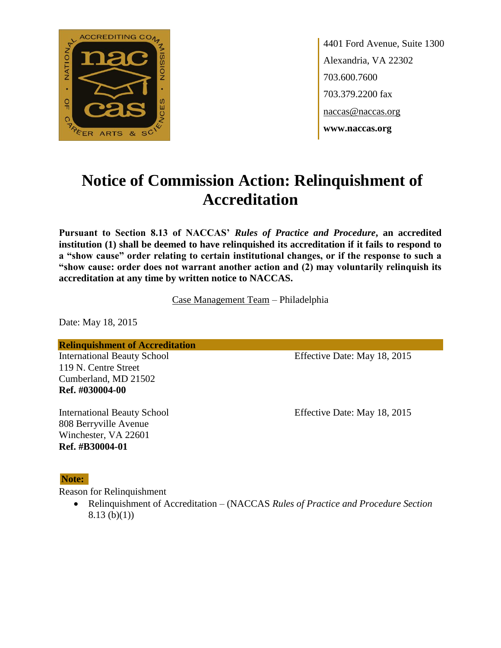

4401 Ford Avenue, Suite 1300 Alexandria, VA 22302 703.600.7600 703.379.2200 fax naccas@naccas.org **www.naccas.org**

# **Notice of Commission Action: Relinquishment of Accreditation**

**Pursuant to Section 8.13 of NACCAS'** *Rules of Practice and Procedure***, an accredited institution (1) shall be deemed to have relinquished its accreditation if it fails to respond to a "show cause" order relating to certain institutional changes, or if the response to such a "show cause: order does not warrant another action and (2) may voluntarily relinquish its accreditation at any time by written notice to NACCAS.**

Case Management Team – Philadelphia

Date: May 18, 2015

**Relinquishment of Accreditation**

119 N. Centre Street Cumberland, MD 21502 **Ref. #030004-00**

808 Berryville Avenue Winchester, VA 22601 **Ref. #B30004-01**

International Beauty School Effective Date: May 18, 2015

International Beauty School Effective Date: May 18, 2015

#### **Note:**

Reason for Relinquishment

 Relinquishment of Accreditation – (NACCAS *Rules of Practice and Procedure Section*   $8.13$  (b)(1))